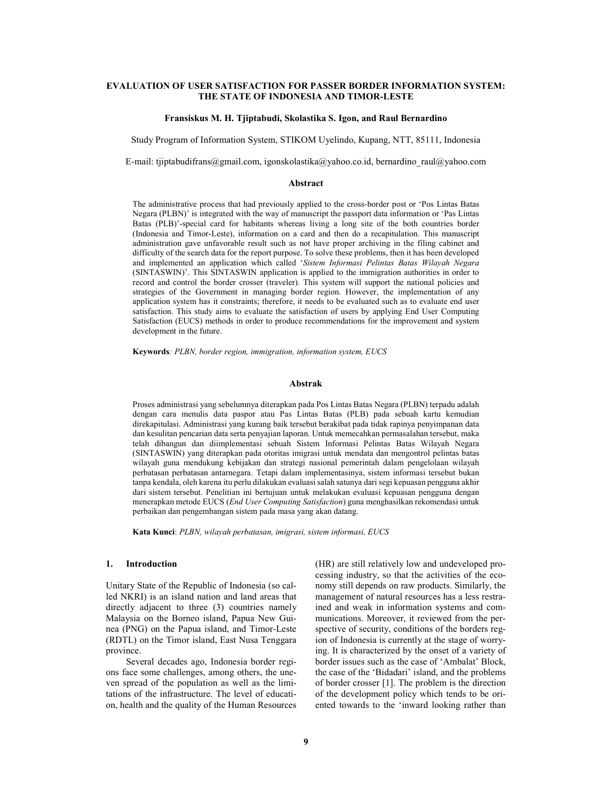# EVALUATION OF USER SATISFACTION FOR PASSER BORDER INFORMATION SYSTEM: THE STATE OF INDONESIA AND TIMOR-LESTE

#### Fransiskus M. H. Tjiptabudi, Skolastika S. Igon, and Raul Bernardino

Study Program of Information System, STIKOM Uyelindo, Kupang, NTT, 85111, Indonesia

E-mail: tjiptabudifrans@gmail.com, igonskolastika@yahoo.co.id, bernardino\_raul@yahoo.com

# Abstract

The administrative process that had previously applied to the cross-border post or 'Pos Lintas Batas Negara (PLBN)' is integrated with the way of manuscript the passport data information or 'Pas Lintas Batas (PLB)'-special card for habitants whereas living a long site of the both countries border (Indonesia and Timor-Leste), information on a card and then do a recapitulation. This manuscript administration gave unfavorable result such as not have proper archiving in the filing cabinet and difficulty of the search data for the report purpose. To solve these problems, then it has been developed and implemented an application which called 'Sistem Informasi Pelintas Batas Wilayah Negara (SINTASWIN)'. This SINTASWIN application is applied to the immigration authorities in order to record and control the border crosser (traveler). This system will support the national policies and strategies of the Government in managing border region. However, the implementation of any application system has it constraints; therefore, it needs to be evaluated such as to evaluate end user satisfaction. This study aims to evaluate the satisfaction of users by applying End User Computing Satisfaction (EUCS) methods in order to produce recommendations for the improvement and system development in the future.

Keywords: PLBN, border region, immigration, information system, EUCS

### Abstrak

Proses administrasi yang sebelumnya diterapkan pada Pos Lintas Batas Negara (PLBN) terpadu adalah dengan cara menulis data paspor atau Pas Lintas Batas (PLB) pada sebuah kartu kemudian direkapitulasi. Administrasi yang kurang baik tersebut berakibat pada tidak rapinya penyimpanan data dan kesulitan pencarian data serta penyajian laporan. Untuk memecahkan permasalahan tersebut, maka telah dibangun dan diimplementasi sebuah Sistem Informasi Pelintas Batas Wilayah Negara (SINTASWIN) yang diterapkan pada otoritas imigrasi untuk mendata dan mengontrol pelintas batas wilayah guna mendukung kebijakan dan strategi nasional pemerintah dalam pengelolaan wilayah perbatasan perbatasan antarnegara. Tetapi dalam implementasinya, sistem informasi tersebut bukan tanpa kendala, oleh karena itu perlu dilakukan evaluasi salah satunya dari segi kepuasan pengguna akhir dari sistem tersebut. Penelitian ini bertujuan untuk melakukan evaluasi kepuasan pengguna dengan menerapkan metode EUCS (End User Computing Satisfaction) guna menghasilkan rekomendasi untuk perbaikan dan pengembangan sistem pada masa yang akan datang.

Kata Kunci: PLBN, wilayah perbatasan, imigrasi, sistem informasi, EUCS

### 1. Introduction

Unitary State of the Republic of Indonesia (so called NKRI) is an island nation and land areas that directly adjacent to three (3) countries namely Malaysia on the Borneo island, Papua New Guinea (PNG) on the Papua island, and Timor-Leste (RDTL) on the Timor island, East Nusa Tenggara province.

Several decades ago, Indonesia border regions face some challenges, among others, the uneven spread of the population as well as the limitations of the infrastructure. The level of education, health and the quality of the Human Resources (HR) are still relatively low and undeveloped processing industry, so that the activities of the economy still depends on raw products. Similarly, the management of natural resources has a less restrained and weak in information systems and communications. Moreover, it reviewed from the perspective of security, conditions of the borders region of Indonesia is currently at the stage of worrying. It is characterized by the onset of a variety of border issues such as the case of 'Ambalat' Block, the case of the 'Bidadari' island, and the problems of border crosser [1]. The problem is the direction of the development policy which tends to be oriented towards to the 'inward looking rather than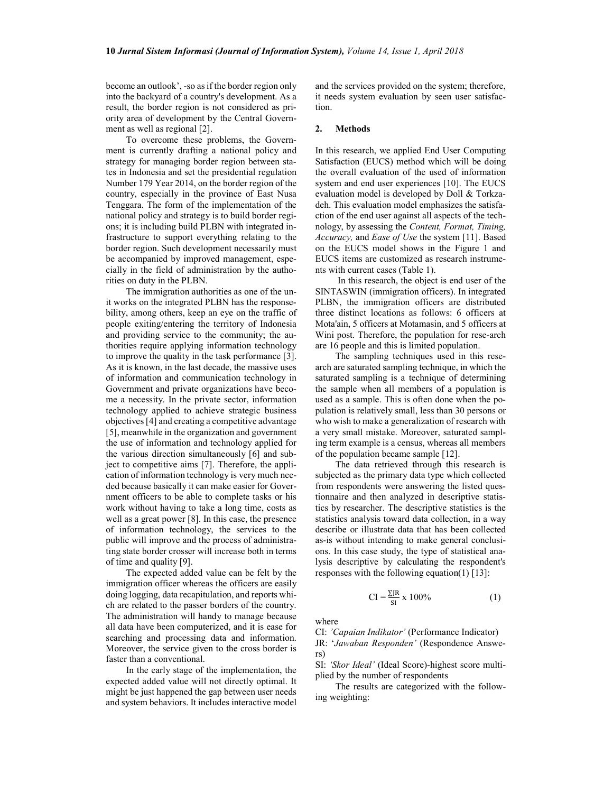become an outlook', -so as if the border region only into the backyard of a country's development. As a result, the border region is not considered as priority area of development by the Central Government as well as regional [2].

To overcome these problems, the Government is currently drafting a national policy and strategy for managing border region between states in Indonesia and set the presidential regulation Number 179 Year 2014, on the border region of the country, especially in the province of East Nusa Tenggara. The form of the implementation of the national policy and strategy is to build border regions; it is including build PLBN with integrated infrastructure to support everything relating to the border region. Such development necessarily must be accompanied by improved management, especially in the field of administration by the authorities on duty in the PLBN.

The immigration authorities as one of the unit works on the integrated PLBN has the responsebility, among others, keep an eye on the traffic of people exiting/entering the territory of Indonesia and providing service to the community; the authorities require applying information technology to improve the quality in the task performance [3]. As it is known, in the last decade, the massive uses of information and communication technology in Government and private organizations have become a necessity. In the private sector, information technology applied to achieve strategic business objectives [4] and creating a competitive advantage [5], meanwhile in the organization and government the use of information and technology applied for the various direction simultaneously [6] and subject to competitive aims [7]. Therefore, the application of information technology is very much needed because basically it can make easier for Government officers to be able to complete tasks or his work without having to take a long time, costs as well as a great power [8]. In this case, the presence of information technology, the services to the public will improve and the process of administrating state border crosser will increase both in terms of time and quality [9].

The expected added value can be felt by the immigration officer whereas the officers are easily doing logging, data recapitulation, and reports which are related to the passer borders of the country. The administration will handy to manage because all data have been computerized, and it is ease for searching and processing data and information. Moreover, the service given to the cross border is faster than a conventional.

In the early stage of the implementation, the expected added value will not directly optimal. It might be just happened the gap between user needs and system behaviors. It includes interactive model and the services provided on the system; therefore, it needs system evaluation by seen user satisfaction.

#### 2. Methods

In this research, we applied End User Computing Satisfaction (EUCS) method which will be doing the overall evaluation of the used of information system and end user experiences [10]. The EUCS evaluation model is developed by Doll & Torkzadeh. This evaluation model emphasizes the satisfaction of the end user against all aspects of the technology, by assessing the Content, Format, Timing, Accuracy, and Ease of Use the system [11]. Based on the EUCS model shows in the Figure 1 and EUCS items are customized as research instruments with current cases (Table 1).

 In this research, the object is end user of the SINTASWIN (immigration officers). In integrated PLBN, the immigration officers are distributed three distinct locations as follows: 6 officers at Mota'ain, 5 officers at Motamasin, and 5 officers at Wini post. Therefore, the population for rese-arch are 16 people and this is limited population.

The sampling techniques used in this research are saturated sampling technique, in which the saturated sampling is a technique of determining the sample when all members of a population is used as a sample. This is often done when the population is relatively small, less than 30 persons or who wish to make a generalization of research with a very small mistake. Moreover, saturated sampling term example is a census, whereas all members of the population became sample [12].

The data retrieved through this research is subjected as the primary data type which collected from respondents were answering the listed questionnaire and then analyzed in descriptive statistics by researcher. The descriptive statistics is the statistics analysis toward data collection, in a way describe or illustrate data that has been collected as-is without intending to make general conclusions. In this case study, the type of statistical analysis descriptive by calculating the respondent's responses with the following equation(1) [13]:

$$
CI = \frac{\Sigma J R}{SI} \times 100\%
$$
 (1)

where

CI: 'Capaian Indikator' (Performance Indicator)

JR: 'Jawaban Responden' (Respondence Answers)

SI: 'Skor Ideal' (Ideal Score)-highest score multiplied by the number of respondents

The results are categorized with the following weighting: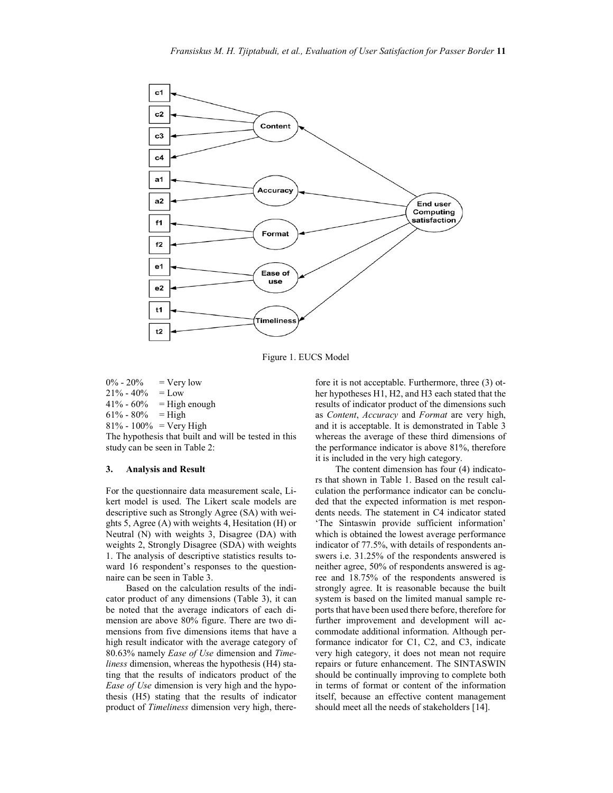

Figure 1. EUCS Model

 $0\% - 20\% = \text{Very low}$  $21\% - 40\% = \text{Low}$  $41\% - 60\% =$  High enough  $61\% - 80\% = High$  $81\% - 100\% = \text{Very High}$ The hypothesis that built and will be tested in this

study can be seen in Table 2:

## 3. Analysis and Result

For the questionnaire data measurement scale, Likert model is used. The Likert scale models are descriptive such as Strongly Agree (SA) with weights 5, Agree (A) with weights 4, Hesitation (H) or Neutral (N) with weights 3, Disagree (DA) with weights 2, Strongly Disagree (SDA) with weights 1. The analysis of descriptive statistics results toward 16 respondent's responses to the questionnaire can be seen in Table 3.

Based on the calculation results of the indicator product of any dimensions (Table 3), it can be noted that the average indicators of each dimension are above 80% figure. There are two dimensions from five dimensions items that have a high result indicator with the average category of 80.63% namely Ease of Use dimension and Timeliness dimension, whereas the hypothesis (H4) stating that the results of indicators product of the Ease of Use dimension is very high and the hypothesis (H5) stating that the results of indicator product of Timeliness dimension very high, therefore it is not acceptable. Furthermore, three (3) other hypotheses H1, H2, and H3 each stated that the results of indicator product of the dimensions such as Content, Accuracy and Format are very high, and it is acceptable. It is demonstrated in Table 3 whereas the average of these third dimensions of the performance indicator is above 81%, therefore it is included in the very high category.

The content dimension has four (4) indicators that shown in Table 1. Based on the result calculation the performance indicator can be concluded that the expected information is met respondents needs. The statement in C4 indicator stated 'The Sintaswin provide sufficient information' which is obtained the lowest average performance indicator of 77.5%, with details of respondents answers i.e. 31.25% of the respondents answered is neither agree, 50% of respondents answered is agree and 18.75% of the respondents answered is strongly agree. It is reasonable because the built system is based on the limited manual sample reports that have been used there before, therefore for further improvement and development will accommodate additional information. Although performance indicator for C1, C2, and C3, indicate very high category, it does not mean not require repairs or future enhancement. The SINTASWIN should be continually improving to complete both in terms of format or content of the information itself, because an effective content management should meet all the needs of stakeholders [14].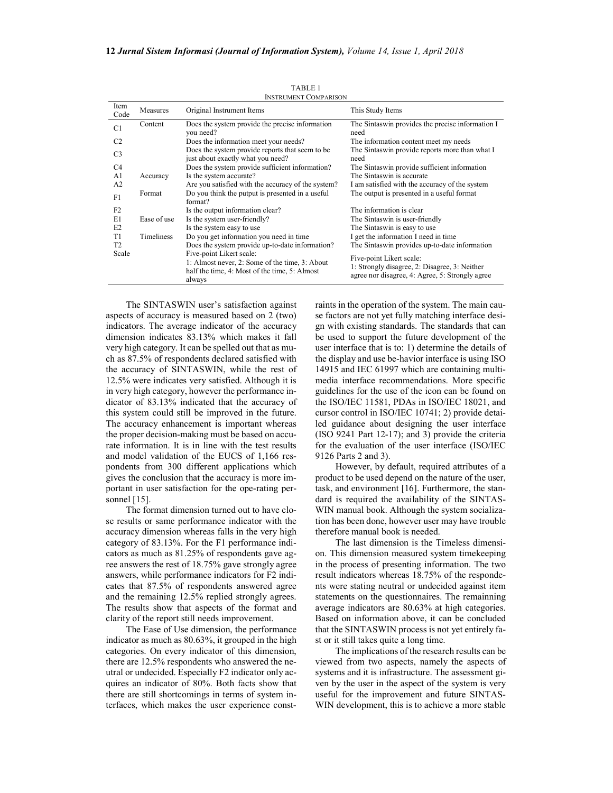| <b>INSTRUMENT COMPARISON</b> |             |                                                                                                                                       |                                                                                                                              |  |  |  |  |
|------------------------------|-------------|---------------------------------------------------------------------------------------------------------------------------------------|------------------------------------------------------------------------------------------------------------------------------|--|--|--|--|
| Item<br>Code                 | Measures    | Original Instrument Items                                                                                                             | This Study Items                                                                                                             |  |  |  |  |
| C <sub>1</sub>               | Content     | Does the system provide the precise information<br>you need?                                                                          | The Sintaswin provides the precise information I<br>need                                                                     |  |  |  |  |
| C <sub>2</sub>               |             | Does the information meet your needs?                                                                                                 | The information content meet my needs                                                                                        |  |  |  |  |
| C <sub>3</sub>               |             | Does the system provide reports that seem to be<br>just about exactly what you need?                                                  | The Sintaswin provide reports more than what I<br>need                                                                       |  |  |  |  |
| C <sub>4</sub>               |             | Does the system provide sufficient information?                                                                                       | The Sintaswin provide sufficient information                                                                                 |  |  |  |  |
| A1                           | Accuracy    | Is the system accurate?                                                                                                               | The Sintaswin is accurate                                                                                                    |  |  |  |  |
| A <sub>2</sub>               |             | Are you satisfied with the accuracy of the system?                                                                                    | I am satisfied with the accuracy of the system                                                                               |  |  |  |  |
| F1                           | Format      | Do you think the putput is presented in a useful<br>format?                                                                           | The output is presented in a useful format                                                                                   |  |  |  |  |
| F2                           |             | Is the output information clear?                                                                                                      | The information is clear                                                                                                     |  |  |  |  |
| E1                           | Ease of use | Is the system user-friendly?                                                                                                          | The Sintaswin is user-friendly                                                                                               |  |  |  |  |
| E2                           |             | Is the system easy to use                                                                                                             | The Sintaswin is easy to use                                                                                                 |  |  |  |  |
| T1                           | Timeliness  | Do you get information you need in time                                                                                               | I get the information I need in time                                                                                         |  |  |  |  |
| T <sub>2</sub>               |             | Does the system provide up-to-date information?                                                                                       | The Sintaswin provides up-to-date information                                                                                |  |  |  |  |
| Scale                        |             | Five-point Likert scale:<br>1: Almost never, 2: Some of the time, 3: About<br>half the time, 4: Most of the time, 5: Almost<br>always | Five-point Likert scale:<br>1: Strongly disagree, 2: Disagree, 3: Neither<br>agree nor disagree, 4: Agree, 5: Strongly agree |  |  |  |  |

TABLE 1

The SINTASWIN user's satisfaction against aspects of accuracy is measured based on 2 (two) indicators. The average indicator of the accuracy dimension indicates 83.13% which makes it fall very high category. It can be spelled out that as much as 87.5% of respondents declared satisfied with the accuracy of SINTASWIN, while the rest of 12.5% were indicates very satisfied. Although it is in very high category, however the performance indicator of 83.13% indicated that the accuracy of this system could still be improved in the future. The accuracy enhancement is important whereas the proper decision-making must be based on accurate information. It is in line with the test results and model validation of the EUCS of 1,166 respondents from 300 different applications which gives the conclusion that the accuracy is more important in user satisfaction for the ope-rating personnel [15].

The format dimension turned out to have close results or same performance indicator with the accuracy dimension whereas falls in the very high category of 83.13%. For the F1 performance indicators as much as 81.25% of respondents gave agree answers the rest of 18.75% gave strongly agree answers, while performance indicators for F2 indicates that 87.5% of respondents answered agree and the remaining 12.5% replied strongly agrees. The results show that aspects of the format and clarity of the report still needs improvement.

The Ease of Use dimension, the performance indicator as much as 80.63%, it grouped in the high categories. On every indicator of this dimension, there are 12.5% respondents who answered the neutral or undecided. Especially F2 indicator only acquires an indicator of 80%. Both facts show that there are still shortcomings in terms of system interfaces, which makes the user experience constraints in the operation of the system. The main cause factors are not yet fully matching interface design with existing standards. The standards that can be used to support the future development of the user interface that is to: 1) determine the details of the display and use be-havior interface is using ISO 14915 and IEC 61997 which are containing multimedia interface recommendations. More specific guidelines for the use of the icon can be found on the ISO/IEC 11581, PDAs in ISO/IEC 18021, and cursor control in ISO/IEC 10741; 2) provide detailed guidance about designing the user interface (ISO 9241 Part 12-17); and 3) provide the criteria for the evaluation of the user interface (ISO/IEC 9126 Parts 2 and 3).

However, by default, required attributes of a product to be used depend on the nature of the user, task, and environment [16]. Furthermore, the standard is required the availability of the SINTAS-WIN manual book. Although the system socialization has been done, however user may have trouble therefore manual book is needed.

The last dimension is the Timeless dimension. This dimension measured system timekeeping in the process of presenting information. The two result indicators whereas 18.75% of the respondents were stating neutral or undecided against item statements on the questionnaires. The remainning average indicators are 80.63% at high categories. Based on information above, it can be concluded that the SINTASWIN process is not yet entirely fast or it still takes quite a long time.

The implications of the research results can be viewed from two aspects, namely the aspects of systems and it is infrastructure. The assessment given by the user in the aspect of the system is very useful for the improvement and future SINTAS-WIN development, this is to achieve a more stable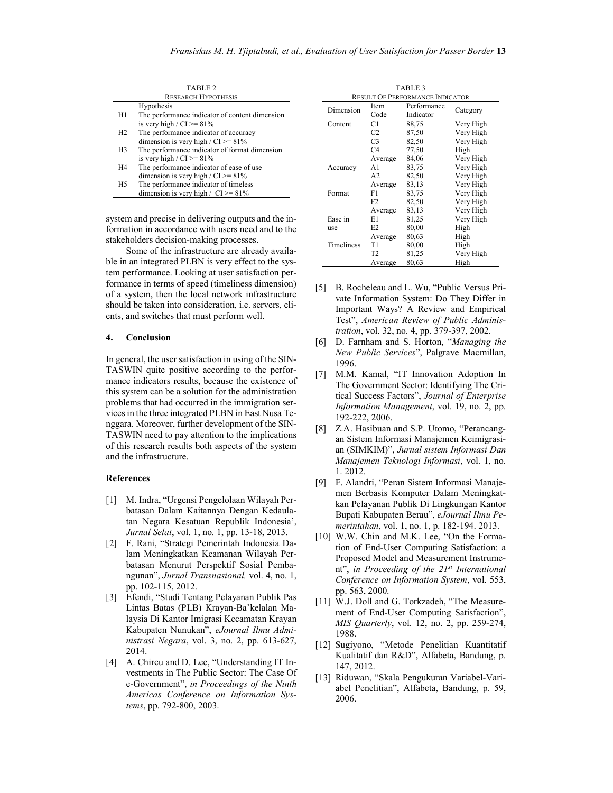TABLE 2 RESEARCH HYPOTHESIS

|                | Hypothesis                                     |
|----------------|------------------------------------------------|
| H1             | The performance indicator of content dimension |
|                | is very high / $CI \ge 81\%$                   |
| H <sub>2</sub> | The performance indicator of accuracy          |
|                | dimension is very high / $CI \ge 81\%$         |
| H <sub>3</sub> | The performance indicator of format dimension  |
|                | is very high / $CI \ge 81\%$                   |
| H4             | The performance indicator of ease of use       |
|                | dimension is very high / $CI \ge 81\%$         |
| H <sub>5</sub> | The performance indicator of timeless          |
|                | dimension is very high / $CI \ge 81\%$         |

system and precise in delivering outputs and the information in accordance with users need and to the stakeholders decision-making processes.

Some of the infrastructure are already available in an integrated PLBN is very effect to the system performance. Looking at user satisfaction performance in terms of speed (timeliness dimension) of a system, then the local network infrastructure should be taken into consideration, i.e. servers, clients, and switches that must perform well.

### 4. Conclusion

In general, the user satisfaction in using of the SIN-TASWIN quite positive according to the performance indicators results, because the existence of this system can be a solution for the administration problems that had occurred in the immigration services in the three integrated PLBN in East Nusa Tenggara. Moreover, further development of the SIN-TASWIN need to pay attention to the implications of this research results both aspects of the system and the infrastructure.

## **References**

- [1] M. Indra, "Urgensi Pengelolaan Wilayah Perbatasan Dalam Kaitannya Dengan Kedaulatan Negara Kesatuan Republik Indonesia', Jurnal Selat, vol. 1, no. 1, pp. 13-18, 2013.
- [2] F. Rani, "Strategi Pemerintah Indonesia Dalam Meningkatkan Keamanan Wilayah Perbatasan Menurut Perspektif Sosial Pembangunan", Jurnal Transnasional, vol. 4, no. 1, pp. 102-115, 2012.
- [3] Efendi, "Studi Tentang Pelayanan Publik Pas Lintas Batas (PLB) Krayan-Ba'kelalan Malaysia Di Kantor Imigrasi Kecamatan Krayan Kabupaten Nunukan", eJournal Ilmu Administrasi Negara, vol. 3, no. 2, pp. 613-627, 2014.
- [4] A. Chircu and D. Lee, "Understanding IT Investments in The Public Sector: The Case Of e-Government", in Proceedings of the Ninth Americas Conference on Information Systems, pp. 792-800, 2003.

| TABLE 3                                |                |                          |           |  |  |  |
|----------------------------------------|----------------|--------------------------|-----------|--|--|--|
| <b>RESULT OF PERFORMANCE INDICATOR</b> |                |                          |           |  |  |  |
| Dimension                              | Item<br>Code   | Performance<br>Indicator | Category  |  |  |  |
| Content                                | C1             | 88,75                    | Very High |  |  |  |
|                                        | C <sub>2</sub> | 87.50                    | Very High |  |  |  |
|                                        | C <sub>3</sub> | 82,50                    | Very High |  |  |  |
|                                        | C <sub>4</sub> | 77,50                    | High      |  |  |  |
|                                        | Average        | 84,06                    | Very High |  |  |  |
| Accuracy                               | A1             | 83,75                    | Very High |  |  |  |
|                                        | A <sub>2</sub> | 82,50                    | Very High |  |  |  |
|                                        | Average        | 83,13                    | Very High |  |  |  |
| Format                                 | F1             | 83,75                    | Very High |  |  |  |
|                                        | F <sub>2</sub> | 82,50                    | Very High |  |  |  |
|                                        | Average        | 83,13                    | Very High |  |  |  |
| Ease in                                | E1             | 81,25                    | Very High |  |  |  |
| use                                    | E2             | 80,00                    | High      |  |  |  |
|                                        | Average        | 80,63                    | High      |  |  |  |
| <b>Timeliness</b>                      | T1             | 80,00                    | High      |  |  |  |
|                                        | T2             | 81,25                    | Very High |  |  |  |
|                                        | Average        | 80,63                    | High      |  |  |  |

- [5] B. Rocheleau and L. Wu, "Public Versus Private Information System: Do They Differ in Important Ways? A Review and Empirical Test", American Review of Public Administration, vol. 32, no. 4, pp. 379-397, 2002.
- [6] D. Farnham and S. Horton, "Managing the New Public Services", Palgrave Macmillan, 1996.
- [7] M.M. Kamal, "IT Innovation Adoption In The Government Sector: Identifying The Critical Success Factors", Journal of Enterprise Information Management, vol. 19, no. 2, pp. 192-222, 2006.
- [8] Z.A. Hasibuan and S.P. Utomo, "Perancangan Sistem Informasi Manajemen Keimigrasian (SIMKIM)", Jurnal sistem Informasi Dan Manajemen Teknologi Informasi, vol. 1, no. 1. 2012.
- [9] F. Alandri, "Peran Sistem Informasi Manajemen Berbasis Komputer Dalam Meningkatkan Pelayanan Publik Di Lingkungan Kantor Bupati Kabupaten Berau", eJournal Ilmu Pemerintahan, vol. 1, no. 1, p. 182-194. 2013.
- [10] W.W. Chin and M.K. Lee, "On the Formation of End-User Computing Satisfaction: a Proposed Model and Measurement Instrument", in Proceeding of the  $21^{st}$  International Conference on Information System, vol. 553, pp. 563, 2000.
- [11] W.J. Doll and G. Torkzadeh, "The Measurement of End-User Computing Satisfaction", MIS Quarterly, vol. 12, no. 2, pp. 259-274, 1988.
- [12] Sugiyono, "Metode Penelitian Kuantitatif Kualitatif dan R&D", Alfabeta, Bandung, p. 147, 2012.
- [13] Riduwan, "Skala Pengukuran Variabel-Variabel Penelitian", Alfabeta, Bandung, p. 59, 2006.